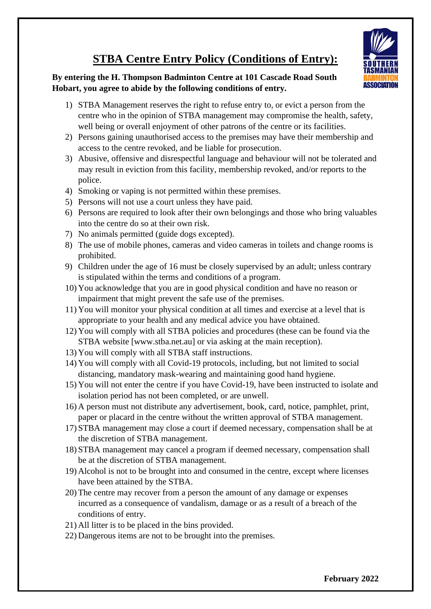## **ASSOCIATION**

## **STBA Centre Entry Policy (Conditions of Entry):**

## **By entering the H. Thompson Badminton Centre at 101 Cascade Road South Hobart, you agree to abide by the following conditions of entry.**

- 1) STBA Management reserves the right to refuse entry to, or evict a person from the centre who in the opinion of STBA management may compromise the health, safety, well being or overall enjoyment of other patrons of the centre or its facilities.
- 2) Persons gaining unauthorised access to the premises may have their membership and access to the centre revoked, and be liable for prosecution.
- 3) Abusive, offensive and disrespectful language and behaviour will not be tolerated and may result in eviction from this facility, membership revoked, and/or reports to the police.
- 4) Smoking or vaping is not permitted within these premises.
- 5) Persons will not use a court unless they have paid.
- 6) Persons are required to look after their own belongings and those who bring valuables into the centre do so at their own risk.
- 7) No animals permitted (guide dogs excepted).
- 8) The use of mobile phones, cameras and video cameras in toilets and change rooms is prohibited.
- 9) Children under the age of 16 must be closely supervised by an adult; unless contrary is stipulated within the terms and conditions of a program.
- 10) You acknowledge that you are in good physical condition and have no reason or impairment that might prevent the safe use of the premises.
- 11) You will monitor your physical condition at all times and exercise at a level that is appropriate to your health and any medical advice you have obtained.
- 12) You will comply with all STBA policies and procedures (these can be found via the STBA website [www.stba.net.au] or via asking at the main reception).
- 13) You will comply with all STBA staff instructions.
- 14) You will comply with all Covid-19 protocols, including, but not limited to social distancing, mandatory mask-wearing and maintaining good hand hygiene.
- 15) You will not enter the centre if you have Covid-19, have been instructed to isolate and isolation period has not been completed, or are unwell.
- 16) A person must not distribute any advertisement, book, card, notice, pamphlet, print, paper or placard in the centre without the written approval of STBA management.
- 17) STBA management may close a court if deemed necessary, compensation shall be at the discretion of STBA management.
- 18) STBA management may cancel a program if deemed necessary, compensation shall be at the discretion of STBA management.
- 19) Alcohol is not to be brought into and consumed in the centre, except where licenses have been attained by the STBA.
- 20) The centre may recover from a person the amount of any damage or expenses incurred as a consequence of vandalism, damage or as a result of a breach of the conditions of entry.
- 21) All litter is to be placed in the bins provided.
- 22) Dangerous items are not to be brought into the premises.